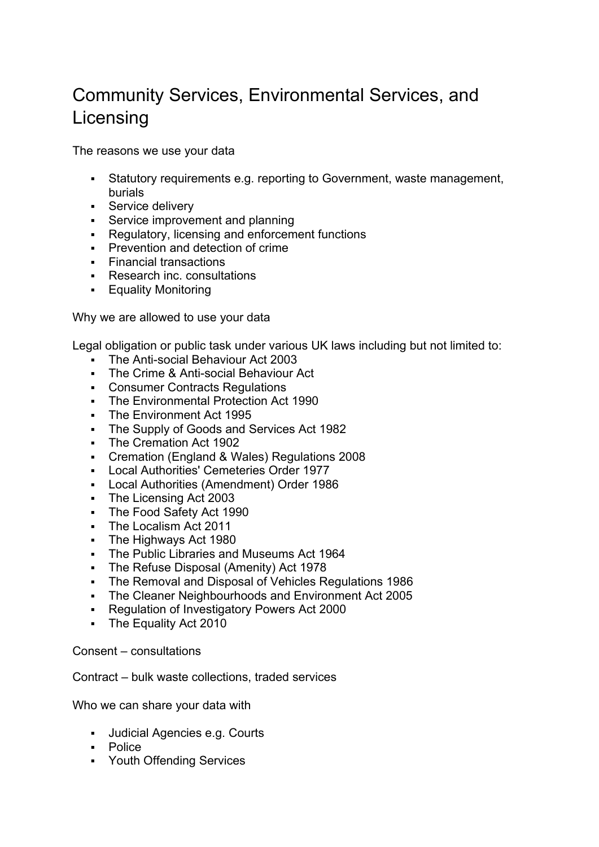## Community Services, Environmental Services, and Licensing

The reasons we use your data

- Statutory requirements e.g. reporting to Government, waste management, burials
- **Service delivery**
- **Service improvement and planning**
- Regulatory, licensing and enforcement functions
- **Prevention and detection of crime**
- **Financial transactions**
- **Research inc. consultations**
- **Equality Monitoring**

Why we are allowed to use your data

Legal obligation or public task under various UK laws including but not limited to:

- **The Anti-social Behaviour Act 2003**
- **The Crime & Anti-social Behaviour Act**
- Consumer Contracts Regulations
- The Environmental Protection Act 1990
- **The Environment Act 1995**
- **The Supply of Goods and Services Act 1982**
- The Cremation Act 1902
- Cremation (England & Wales) Regulations 2008
- Local Authorities' Cemeteries Order 1977
- Local Authorities (Amendment) Order 1986
- The Licensing Act 2003
- The Food Safety Act 1990
- The Localism Act 2011
- **The Highways Act 1980**
- **The Public Libraries and Museums Act 1964**
- **The Refuse Disposal (Amenity) Act 1978**
- The Removal and Disposal of Vehicles Regulations 1986
- The Cleaner Neighbourhoods and Environment Act 2005
- Regulation of Investigatory Powers Act 2000
- **The Equality Act 2010**

Consent – consultations

Contract – bulk waste collections, traded services

Who we can share your data with

- Judicial Agencies e.g. Courts
- Police
- Youth Offending Services